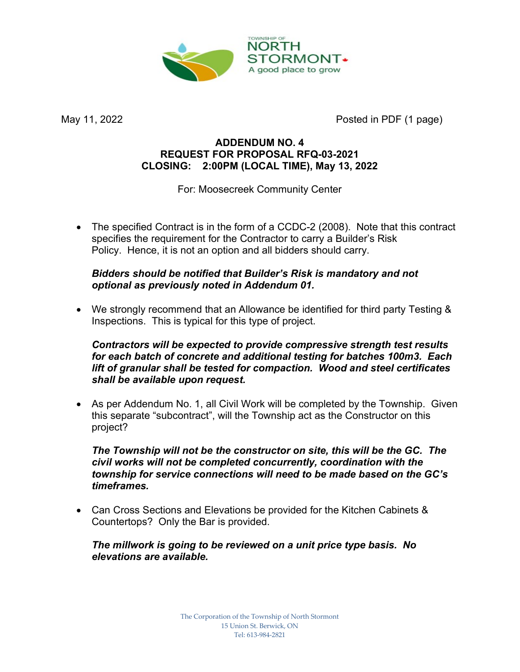

May 11, 2022 **Posted in PDF (1 page)** 

## ADDENDUM NO. 4 REQUEST FOR PROPOSAL RFQ-03-2021 CLOSING: 2:00PM (LOCAL TIME), May 13, 2022

For: Moosecreek Community Center

 The specified Contract is in the form of a CCDC-2 (2008). Note that this contract specifies the requirement for the Contractor to carry a Builder's Risk Policy. Hence, it is not an option and all bidders should carry.

## Bidders should be notified that Builder's Risk is mandatory and not optional as previously noted in Addendum 01.

 We strongly recommend that an Allowance be identified for third party Testing & Inspections. This is typical for this type of project.

Contractors will be expected to provide compressive strength test results for each batch of concrete and additional testing for batches 100m3. Each lift of granular shall be tested for compaction. Wood and steel certificates shall be available upon request.

 As per Addendum No. 1, all Civil Work will be completed by the Township. Given this separate "subcontract", will the Township act as the Constructor on this project?

The Township will not be the constructor on site, this will be the GC. The civil works will not be completed concurrently, coordination with the township for service connections will need to be made based on the GC's timeframes.

 Can Cross Sections and Elevations be provided for the Kitchen Cabinets & Countertops? Only the Bar is provided.

### The millwork is going to be reviewed on a unit price type basis. No elevations are available.